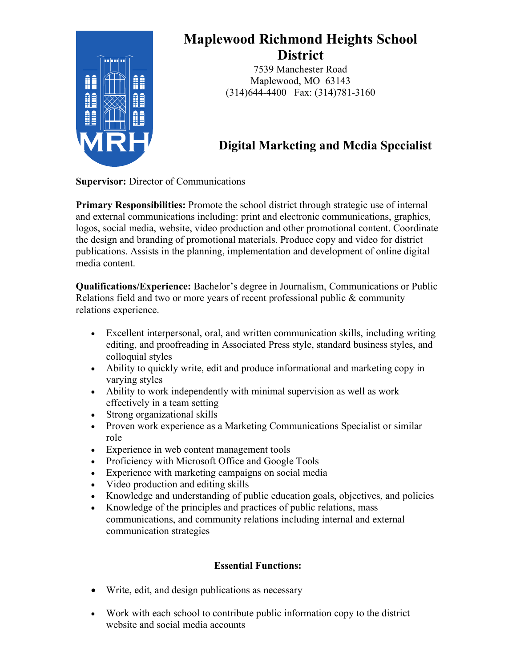

# **Maplewood Richmond Heights School District**

7539 Manchester Road Maplewood, MO 63143 (314)644-4400 Fax: (314)781-3160

## **Digital Marketing and Media Specialist**

**Supervisor:** Director of Communications

**Primary Responsibilities:** Promote the school district through strategic use of internal and external communications including: print and electronic communications, graphics, logos, social media, website, video production and other promotional content. Coordinate the design and branding of promotional materials. Produce copy and video for district publications. Assists in the planning, implementation and development of online digital media content.

**Qualifications/Experience:** Bachelor's degree in Journalism, Communications or Public Relations field and two or more years of recent professional public & community relations experience.

- Excellent interpersonal, oral, and written communication skills, including writing editing, and proofreading in Associated Press style, standard business styles, and colloquial styles
- Ability to quickly write, edit and produce informational and marketing copy in varying styles
- Ability to work independently with minimal supervision as well as work effectively in a team setting
- Strong organizational skills
- Proven work experience as a Marketing Communications Specialist or similar role
- Experience in web content management tools
- Proficiency with Microsoft Office and Google Tools
- Experience with marketing campaigns on social media
- Video production and editing skills
- Knowledge and understanding of public education goals, objectives, and policies
- Knowledge of the principles and practices of public relations, mass communications, and community relations including internal and external communication strategies

## **Essential Functions:**

- Write, edit, and design publications as necessary
- Work with each school to contribute public information copy to the district website and social media accounts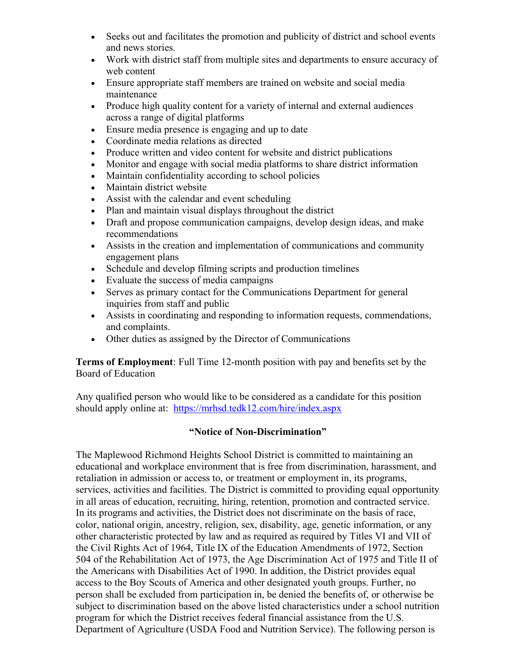- Seeks out and facilitates the promotion and publicity of district and school events and news stories.
- Work with district staff from multiple sites and departments to ensure accuracy of web content
- Ensure appropriate staff members are trained on website and social media maintenance
- Produce high quality content for a variety of internal and external audiences across a range of digital platforms
- Ensure media presence is engaging and up to date
- Coordinate media relations as directed
- Produce written and video content for website and district publications
- Monitor and engage with social media platforms to share district information
- Maintain confidentiality according to school policies
- Maintain district website
- Assist with the calendar and event scheduling
- Plan and maintain visual displays throughout the district
- Draft and propose communication campaigns, develop design ideas, and make recommendations
- Assists in the creation and implementation of communications and community engagement plans
- Schedule and develop filming scripts and production timelines
- Evaluate the success of media campaigns
- Serves as primary contact for the Communications Department for general inquiries from staff and public
- Assists in coordinating and responding to information requests, commendations, and complaints.
- Other duties as assigned by the Director of Communications

**Terms of Employment**: Full Time 12-month position with pay and benefits set by the Board of Education

Any qualified person who would like to be considered as a candidate for this position should apply online at: https://mrhsd.tedk12.com/hire/index.aspx

### **"Notice of Non-Discrimination"**

The Maplewood Richmond Heights School District is committed to maintaining an educational and workplace environment that is free from discrimination, harassment, and retaliation in admission or access to, or treatment or employment in, its programs, services, activities and facilities. The District is committed to providing equal opportunity in all areas of education, recruiting, hiring, retention, promotion and contracted service. In its programs and activities, the District does not discriminate on the basis of race, color, national origin, ancestry, religion, sex, disability, age, genetic information, or any other characteristic protected by law and as required as required by Titles VI and VII of the Civil Rights Act of 1964, Title IX of the Education Amendments of 1972, Section 504 of the Rehabilitation Act of 1973, the Age Discrimination Act of 1975 and Title II of the Americans with Disabilities Act of 1990. In addition, the District provides equal access to the Boy Scouts of America and other designated youth groups. Further, no person shall be excluded from participation in, be denied the benefits of, or otherwise be subject to discrimination based on the above listed characteristics under a school nutrition program for which the District receives federal financial assistance from the U.S. Department of Agriculture (USDA Food and Nutrition Service). The following person is